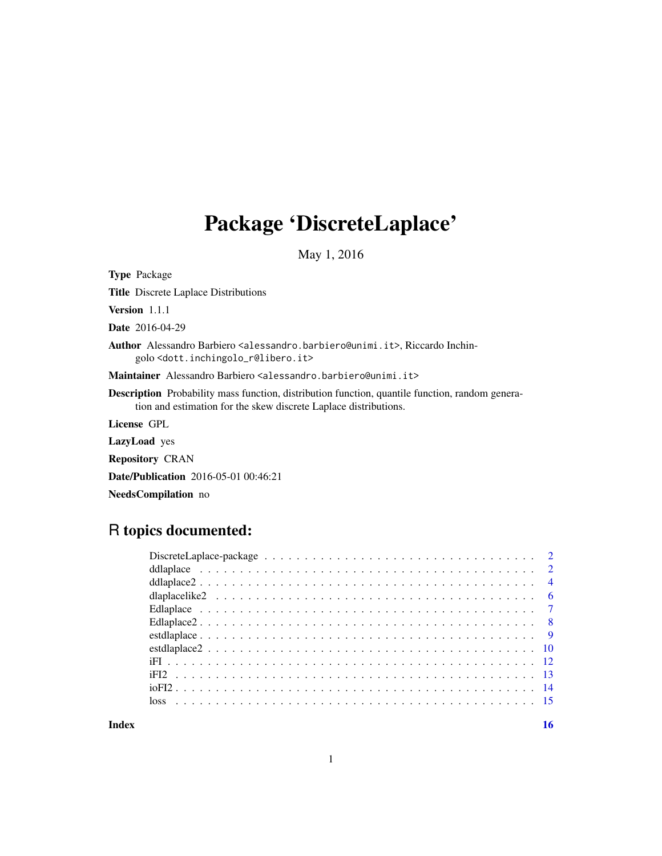# Package 'DiscreteLaplace'

May 1, 2016

Type Package Title Discrete Laplace Distributions Version 1.1.1 Date 2016-04-29 Author Alessandro Barbiero <alessandro.barbiero@unimi.it>, Riccardo Inchingolo <dott.inchingolo\_r@libero.it> Maintainer Alessandro Barbiero <alessandro.barbiero@unimi.it> Description Probability mass function, distribution function, quantile function, random generation and estimation for the skew discrete Laplace distributions. License GPL LazyLoad yes Repository CRAN Date/Publication 2016-05-01 00:46:21 NeedsCompilation no

# R topics documented:

| dlaplacelike $2 \ldots \ldots \ldots \ldots \ldots \ldots \ldots \ldots \ldots \ldots \ldots \ldots \ldots$ |  |
|-------------------------------------------------------------------------------------------------------------|--|
|                                                                                                             |  |
|                                                                                                             |  |
|                                                                                                             |  |
|                                                                                                             |  |
|                                                                                                             |  |
|                                                                                                             |  |
|                                                                                                             |  |
|                                                                                                             |  |
|                                                                                                             |  |

**Index** and the contract of the contract of the contract of the contract of the contract of the contract of the contract of the contract of the contract of the contract of the contract of the contract of the contract of th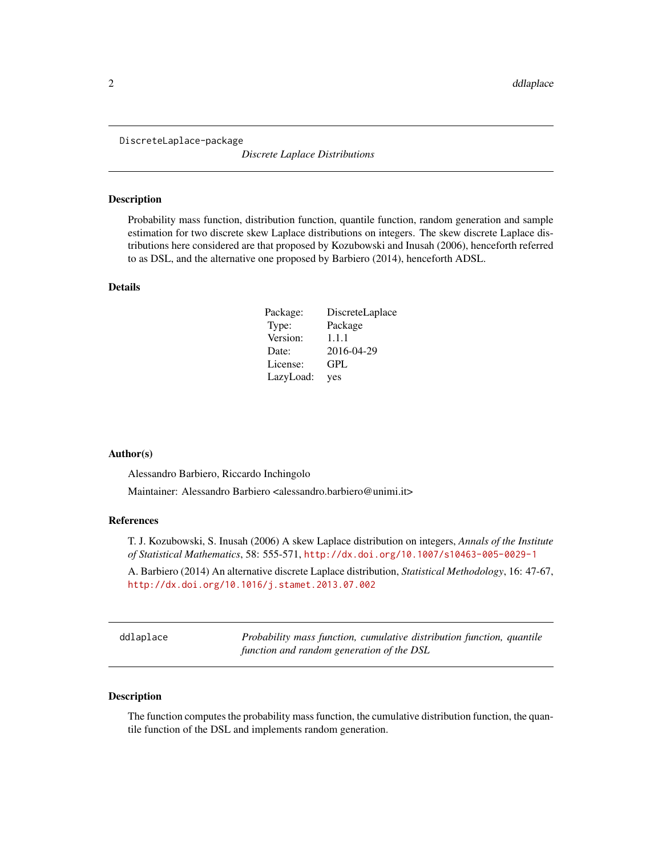<span id="page-1-0"></span>DiscreteLaplace-package

*Discrete Laplace Distributions*

#### Description

Probability mass function, distribution function, quantile function, random generation and sample estimation for two discrete skew Laplace distributions on integers. The skew discrete Laplace distributions here considered are that proposed by Kozubowski and Inusah (2006), henceforth referred to as DSL, and the alternative one proposed by Barbiero (2014), henceforth ADSL.

#### Details

| Package:  | DiscreteLaplace |
|-----------|-----------------|
| Type:     | Package         |
| Version:  | 1.1.1           |
| Date:     | 2016-04-29      |
| License:  | GPL             |
| LazyLoad: | yes             |

#### Author(s)

Alessandro Barbiero, Riccardo Inchingolo

Maintainer: Alessandro Barbiero <alessandro.barbiero@unimi.it>

#### References

T. J. Kozubowski, S. Inusah (2006) A skew Laplace distribution on integers, *Annals of the Institute of Statistical Mathematics*, 58: 555-571, <http://dx.doi.org/10.1007/s10463-005-0029-1>

A. Barbiero (2014) An alternative discrete Laplace distribution, *Statistical Methodology*, 16: 47-67, <http://dx.doi.org/10.1016/j.stamet.2013.07.002>

<span id="page-1-1"></span>

|  | ddlaplace |  |
|--|-----------|--|
|  |           |  |

Probability mass function, cumulative distribution function, quantile *function and random generation of the DSL*

#### Description

The function computes the probability mass function, the cumulative distribution function, the quantile function of the DSL and implements random generation.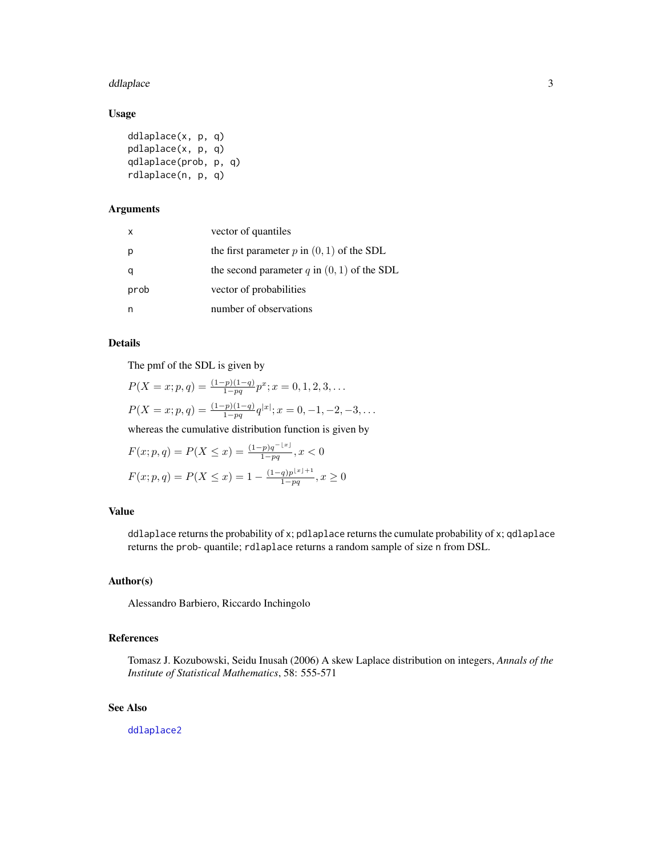#### <span id="page-2-0"></span>ddlaplace 3

## Usage

```
ddlaplace(x, p, q)
pdlaplace(x, p, q)
qdlaplace(prob, p, q)
rdlaplace(n, p, q)
```
# Arguments

| $\mathsf{x}$ | vector of quantiles                            |
|--------------|------------------------------------------------|
|              | the first parameter $p$ in $(0, 1)$ of the SDL |
|              | the second parameter q in $(0, 1)$ of the SDL  |
| prob         | vector of probabilities                        |
|              | number of observations                         |

# Details

The pmf of the SDL is given by

$$
P(X = x; p, q) = \frac{(1-p)(1-q)}{1-pq}p^x; x = 0, 1, 2, 3, ...
$$
  

$$
P(X = x; p, q) = \frac{(1-p)(1-q)}{1-pq}q^{|x|}; x = 0, -1, -2, -3, ...
$$

whereas the cumulative distribution function is given by

$$
F(x; p, q) = P(X \le x) = \frac{(1-p)q^{-\lfloor x \rfloor}}{1-pq}, x < 0
$$
  

$$
F(x; p, q) = P(X \le x) = 1 - \frac{(1-q)p^{\lfloor x \rfloor + 1}}{1-pq}, x \ge 0
$$

## Value

ddlaplace returns the probability of x; pdlaplace returns the cumulate probability of x; qdlaplace returns the prob- quantile; rdlaplace returns a random sample of size n from DSL.

#### Author(s)

Alessandro Barbiero, Riccardo Inchingolo

# References

Tomasz J. Kozubowski, Seidu Inusah (2006) A skew Laplace distribution on integers, *Annals of the Institute of Statistical Mathematics*, 58: 555-571

#### See Also

[ddlaplace2](#page-3-1)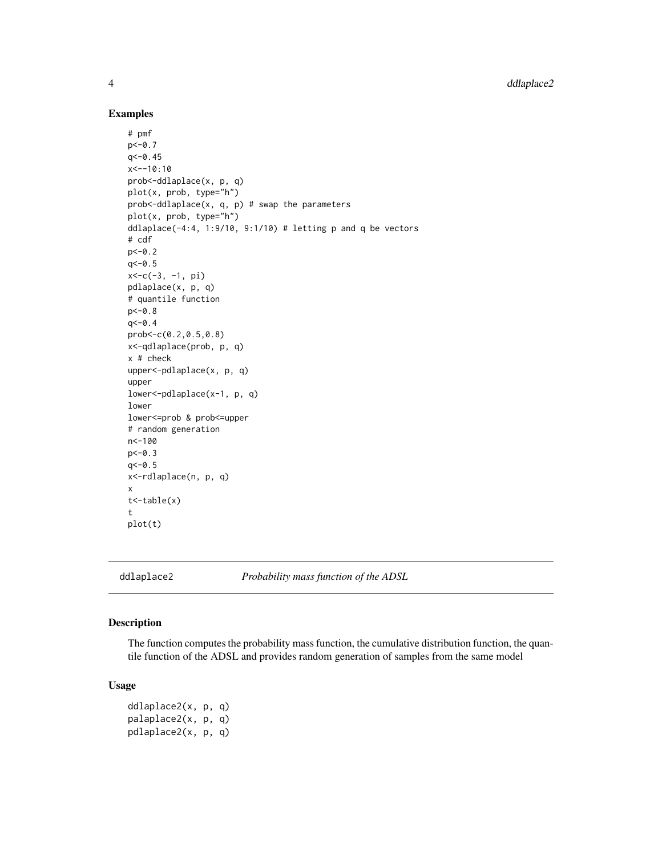#### Examples

```
# pmf
p < -0.7q<-0.45
x < -10:10prob<-ddlaplace(x, p, q)
plot(x, prob, type="h")
prob<-ddlaplace(x, q, p) # swap the parameters
plot(x, prob, type="h")
ddlaplace(-4:4, 1:9/10, 9:1/10) # letting p and q be vectors
# cdf
p < -0.2q< -0.5x<-c(-3, -1, pi)
pdlaplace(x, p, q)
# quantile function
p<-0.8
q< -0.4prob<-c(0.2,0.5,0.8)
x<-qdlaplace(prob, p, q)
x # check
upper<-pdlaplace(x, p, q)
upper
lower<-pdlaplace(x-1, p, q)
lower
lower<=prob & prob<=upper
# random generation
n<-100
p < -0.3q<-0.5
x<-rdlaplace(n, p, q)
x
t < -table(x)t
plot(t)
```
<span id="page-3-1"></span>ddlaplace2 *Probability mass function of the ADSL*

#### Description

The function computes the probability mass function, the cumulative distribution function, the quantile function of the ADSL and provides random generation of samples from the same model

#### Usage

ddlaplace2(x, p, q) palaplace2(x, p, q) pdlaplace2(x, p, q)

<span id="page-3-0"></span>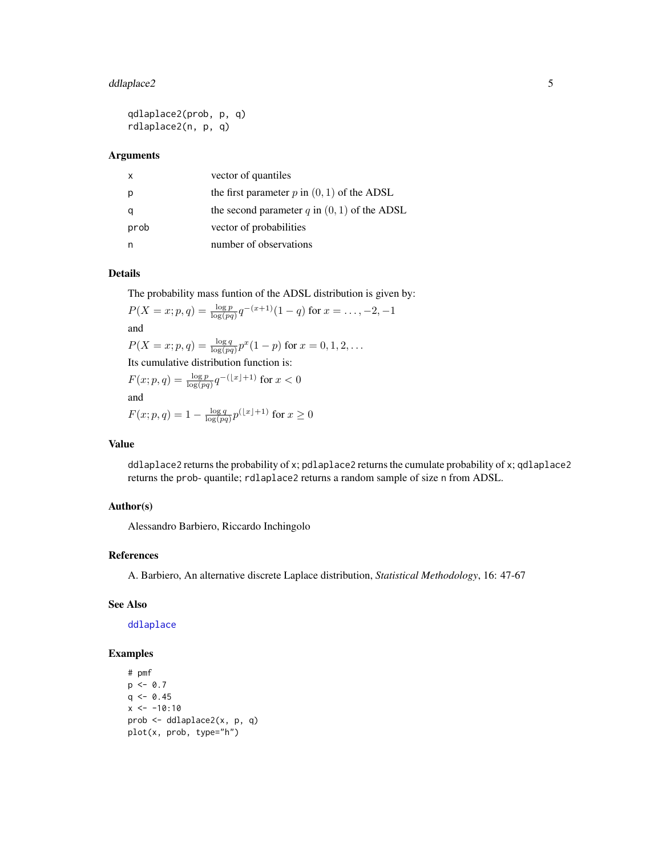# <span id="page-4-0"></span>ddlaplace2 5

```
qdlaplace2(prob, p, q)
rdlaplace2(n, p, q)
```
# Arguments

|      | vector of quantiles                              |
|------|--------------------------------------------------|
|      | the first parameter $p$ in $(0, 1)$ of the ADSL  |
|      | the second parameter $q$ in $(0, 1)$ of the ADSL |
| prob | vector of probabilities                          |
|      | number of observations                           |

# Details

The probability mass funtion of the ADSL distribution is given by:

$$
P(X = x; p, q) = \frac{\log p}{\log(pq)} q^{-(x+1)} (1-q) \text{ for } x = \dots, -2, -1
$$
  
and  

$$
P(X = x; p, q) = \frac{\log q}{\log(pq)} p^x (1-p) \text{ for } x = 0, 1, 2, \dots
$$
  
Its cumulative distribution function is:  

$$
F(x; p, q) = \frac{\log p}{\log(pq)} q^{-(\lfloor x \rfloor + 1)} \text{ for } x < 0
$$
  
and  

$$
F(x; p, q) = 1 - \frac{\log q}{\log(pq)} p^{(\lfloor x \rfloor + 1)} \text{ for } x \ge 0
$$

#### Value

ddlaplace2 returns the probability of x; pdlaplace2 returns the cumulate probability of x; qdlaplace2 returns the prob- quantile; rdlaplace2 returns a random sample of size n from ADSL.

# Author(s)

Alessandro Barbiero, Riccardo Inchingolo

# References

A. Barbiero, An alternative discrete Laplace distribution, *Statistical Methodology*, 16: 47-67

#### See Also

#### [ddlaplace](#page-1-1)

```
# pmf
p \le -0.7q \leq -0.45x \le -10:10prob <- ddlaplace2(x, p, q)
plot(x, prob, type="h")
```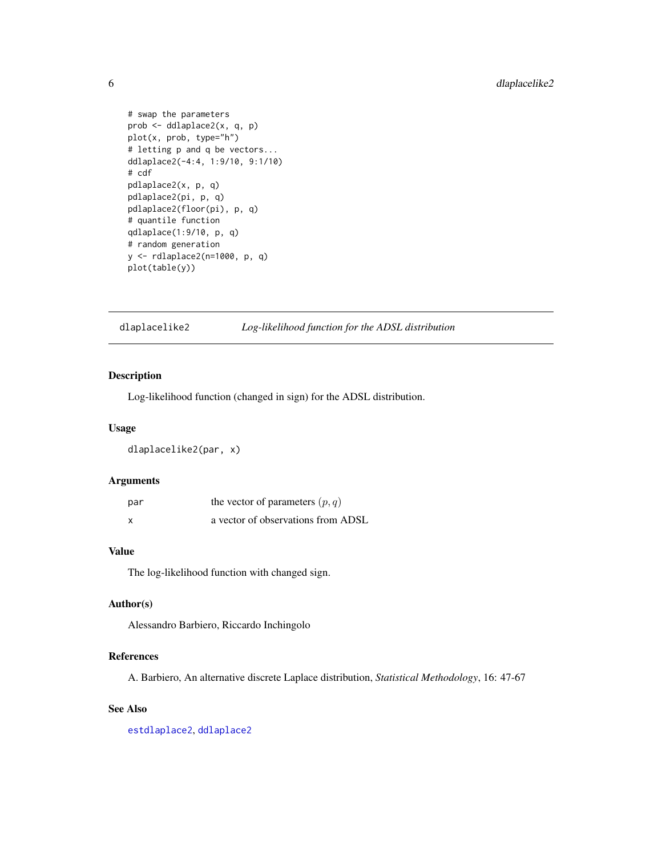```
# swap the parameters
prob <- ddlaplace2(x, q, p)
plot(x, prob, type="h")
# letting p and q be vectors...
ddlaplace2(-4:4, 1:9/10, 9:1/10)
# cdf
pdlaplace2(x, p, q)
pdlaplace2(pi, p, q)
pdlaplace2(floor(pi), p, q)
# quantile function
qdlaplace(1:9/10, p, q)
# random generation
y <- rdlaplace2(n=1000, p, q)
plot(table(y))
```
<span id="page-5-1"></span>dlaplacelike2 *Log-likelihood function for the ADSL distribution*

# Description

Log-likelihood function (changed in sign) for the ADSL distribution.

#### Usage

dlaplacelike2(par, x)

#### Arguments

| par | the vector of parameters $(p, q)$  |
|-----|------------------------------------|
| x   | a vector of observations from ADSL |

# Value

The log-likelihood function with changed sign.

### Author(s)

Alessandro Barbiero, Riccardo Inchingolo

#### References

A. Barbiero, An alternative discrete Laplace distribution, *Statistical Methodology*, 16: 47-67

# See Also

[estdlaplace2](#page-9-1), [ddlaplace2](#page-3-1)

<span id="page-5-0"></span>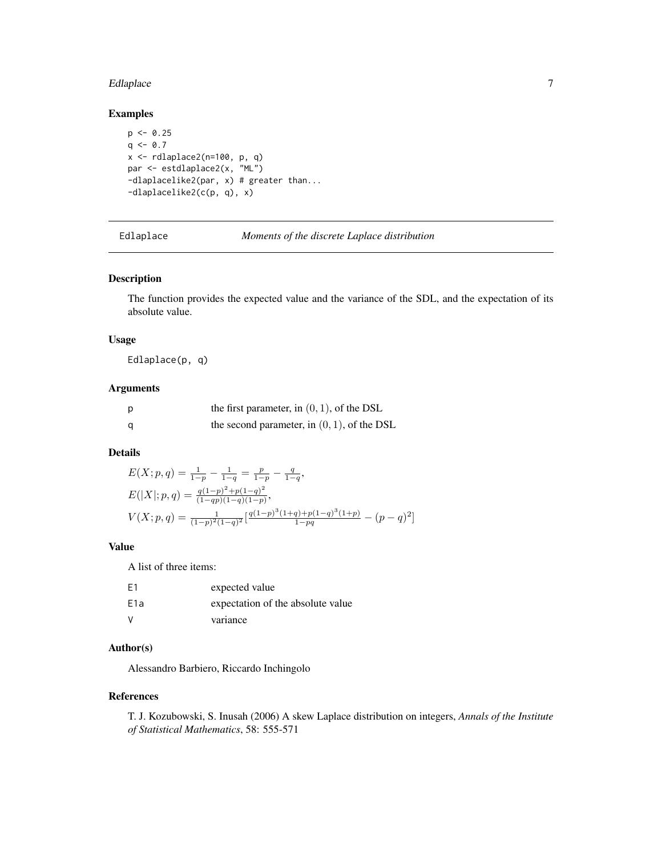#### <span id="page-6-0"></span>Edlaplace 7 and 7 and 7 and 7 and 7 and 7 and 7 and 7 and 7 and 7 and 7 and 7 and 7 and 7 and 7 and 7 and 7 and 7 and 7 and 7 and 7 and 7 and 7 and 7 and 7 and 7 and 7 and 7 and 7 and 7 and 7 and 7 and 7 and 7 and 7 and 7

#### Examples

```
p \le -0.25q \le -0.7x \leftarrow rdlaplace2(n=100, p, q)
par <- estdlaplace2(x, "ML")
-dlaplacelike2(par, x) # greater than...
-dlaplacelike2(c(p, q), x)
```
Edlaplace *Moments of the discrete Laplace distribution*

# Description

The function provides the expected value and the variance of the SDL, and the expectation of its absolute value.

# Usage

Edlaplace(p, q)

#### Arguments

| p | the first parameter, in $(0, 1)$ , of the DSL  |
|---|------------------------------------------------|
| a | the second parameter, in $(0, 1)$ , of the DSL |

# Details

$$
E(X; p, q) = \frac{1}{1-p} - \frac{1}{1-q} = \frac{p}{1-p} - \frac{q}{1-q},
$$
  
\n
$$
E(|X|; p, q) = \frac{q(1-p)^2 + p(1-q)^2}{(1-qp)(1-q)(1-p)},
$$
  
\n
$$
V(X; p, q) = \frac{1}{(1-p)^2(1-q)^2} \left[ \frac{q(1-p)^3(1+q) + p(1-q)^3(1+p)}{1-pq} - (p-q)^2 \right]
$$

# Value

A list of three items:

| E1               | expected value                    |
|------------------|-----------------------------------|
| E <sub>1</sub> a | expectation of the absolute value |
| v                | variance                          |

# Author(s)

Alessandro Barbiero, Riccardo Inchingolo

#### References

T. J. Kozubowski, S. Inusah (2006) A skew Laplace distribution on integers, *Annals of the Institute of Statistical Mathematics*, 58: 555-571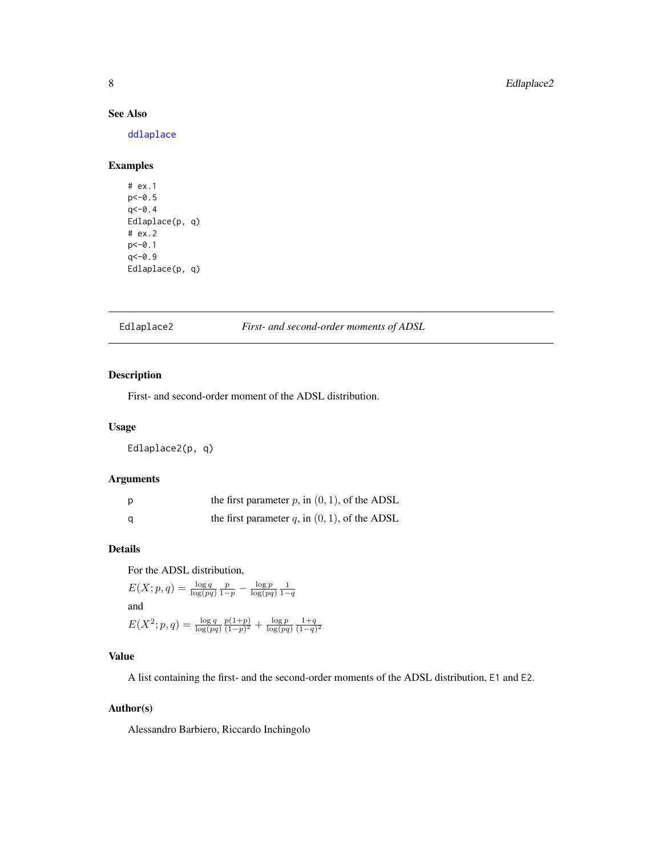#### See Also

[ddlaplace](#page-1-1)

# Examples

# ex.1 p<-0.5  $q < -0.4$ Edlaplace(p, q) # ex.2 p<-0.1  $q< -0.9$ Edlaplace(p, q)

<span id="page-7-1"></span>Edlaplace2 *First- and second-order moments of ADSL*

#### Description

First- and second-order moment of the ADSL distribution.

#### Usage

Edlaplace2(p, q)

#### Arguments

| p | the first parameter $p$ , in $(0, 1)$ , of the ADSL |
|---|-----------------------------------------------------|
| a | the first parameter $q$ , in $(0, 1)$ , of the ADSL |

#### Details

For the ADSL distribution,

```
E(X; p, q) = \frac{\log q}{\log (pq)} \frac{p}{1-p} - \frac{\log p}{\log (pq)} \frac{1}{1-q}and
 E(X^2; p, q) = \frac{\log q}{\log(pq)}p(1+p)\frac{p(1+p)}{(1-p)^2} + \frac{\log p}{\log (pq)} \frac{1+q}{(1-q)^2}
```
#### Value

A list containing the first- and the second-order moments of the ADSL distribution, E1 and E2.

# Author(s)

Alessandro Barbiero, Riccardo Inchingolo

<span id="page-7-0"></span>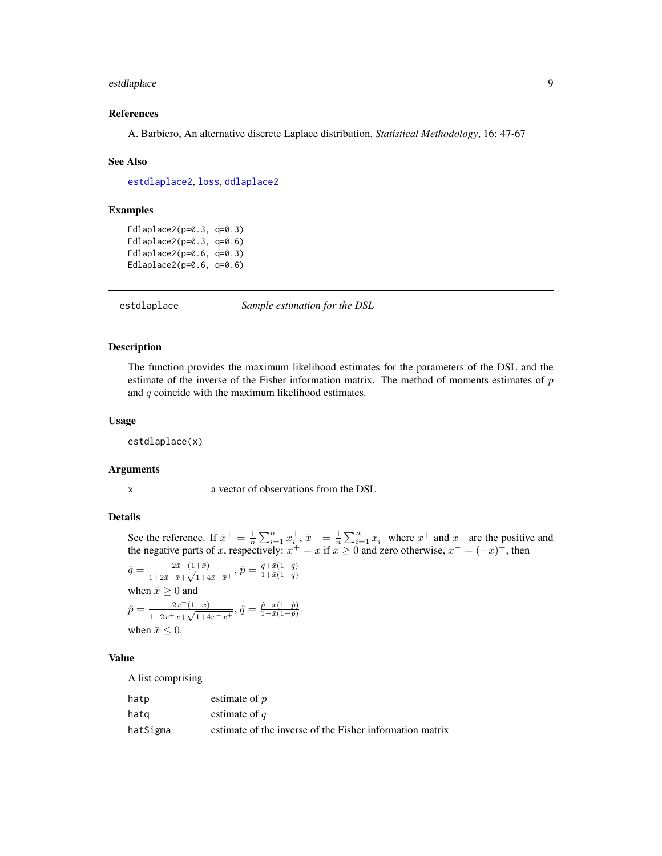# <span id="page-8-0"></span>estdlaplace 9

#### References

A. Barbiero, An alternative discrete Laplace distribution, *Statistical Methodology*, 16: 47-67

#### See Also

[estdlaplace2](#page-9-1), [loss](#page-14-1), [ddlaplace2](#page-3-1)

#### Examples

Edlaplace2(p=0.3, q=0.3) Edlaplace2(p=0.3, q=0.6) Edlaplace2(p=0.6, q=0.3) Edlaplace2(p=0.6, q=0.6)

estdlaplace *Sample estimation for the DSL*

#### Description

The function provides the maximum likelihood estimates for the parameters of the DSL and the estimate of the inverse of the Fisher information matrix. The method of moments estimates of p and  $q$  coincide with the maximum likelihood estimates.

#### Usage

estdlaplace(x)

#### Arguments

x a vector of observations from the DSL

#### Details

See the reference. If  $\bar{x}^+ = \frac{1}{n} \sum_{i=1}^n x_i^+, \bar{x}^- = \frac{1}{n} \sum_{i=1}^n x_i^-$  where  $x^+$  and  $x^-$  are the positive and the negative parts of x, respectively:  $x^+ = x$  if  $x \ge 0$  and zero otherwise,  $x^- = (-x)^+$ , then

$$
\hat{q} = \frac{2\bar{x}^-(1+\bar{x})}{1+2\bar{x}^-\bar{x}+\sqrt{1+4\bar{x}^-\bar{x}^+}}, \hat{p} = \frac{\hat{q}+\bar{x}(1-\hat{q})}{1+\bar{x}(1-\hat{q})}
$$
\nwhen  $\bar{x} \geq 0$  and

\n
$$
\hat{p} = \frac{2\bar{x}^+(1-\bar{x})}{1-2\bar{x}^+\bar{x}+\sqrt{1+4\bar{x}^-\bar{x}^+}}, \hat{q} = \frac{\hat{p}-\bar{x}(1-\hat{p})}{1-\bar{x}(1-\hat{p})}
$$
\nwhen  $\bar{x} \leq 0$ .

#### Value

A list comprising

| hatp     | estimate of $p$                                          |
|----------|----------------------------------------------------------|
| hatq     | estimate of $q$                                          |
| hatSigma | estimate of the inverse of the Fisher information matrix |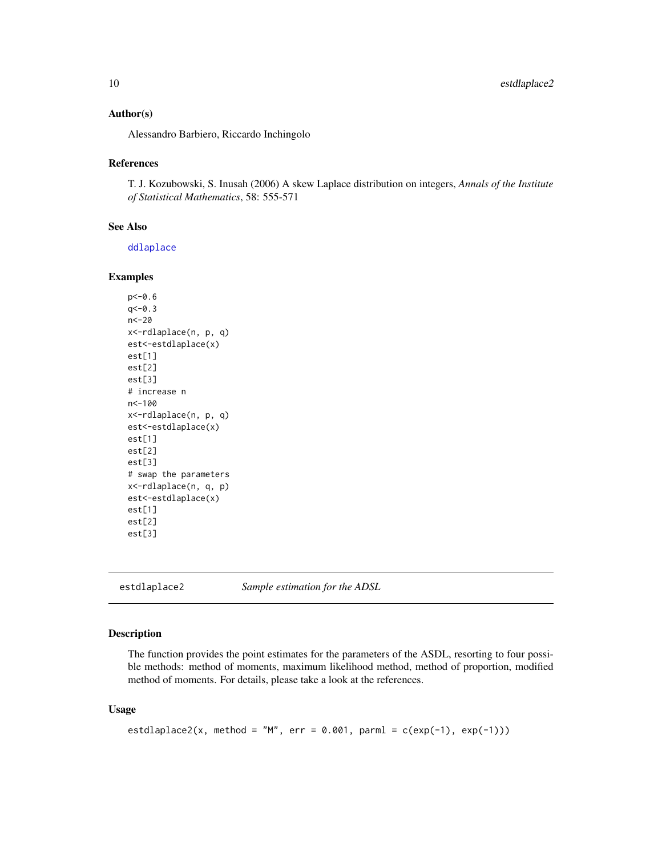#### <span id="page-9-0"></span>Author(s)

Alessandro Barbiero, Riccardo Inchingolo

## References

T. J. Kozubowski, S. Inusah (2006) A skew Laplace distribution on integers, *Annals of the Institute of Statistical Mathematics*, 58: 555-571

#### See Also

[ddlaplace](#page-1-1)

#### Examples

```
p<-0.6
q < -0.3n<-20
x<-rdlaplace(n, p, q)
est<-estdlaplace(x)
est[1]
est[2]
est[3]
# increase n
n<-100
x<-rdlaplace(n, p, q)
est<-estdlaplace(x)
est[1]
est[2]
est[3]
# swap the parameters
x<-rdlaplace(n, q, p)
est<-estdlaplace(x)
est[1]
est[2]
est[3]
```
<span id="page-9-1"></span>estdlaplace2 *Sample estimation for the ADSL*

#### Description

The function provides the point estimates for the parameters of the ASDL, resorting to four possible methods: method of moments, maximum likelihood method, method of proportion, modified method of moments. For details, please take a look at the references.

#### Usage

```
estdlaplace2(x, method = "M", err = 0.001, parml = c(exp(-1), exp(-1)))
```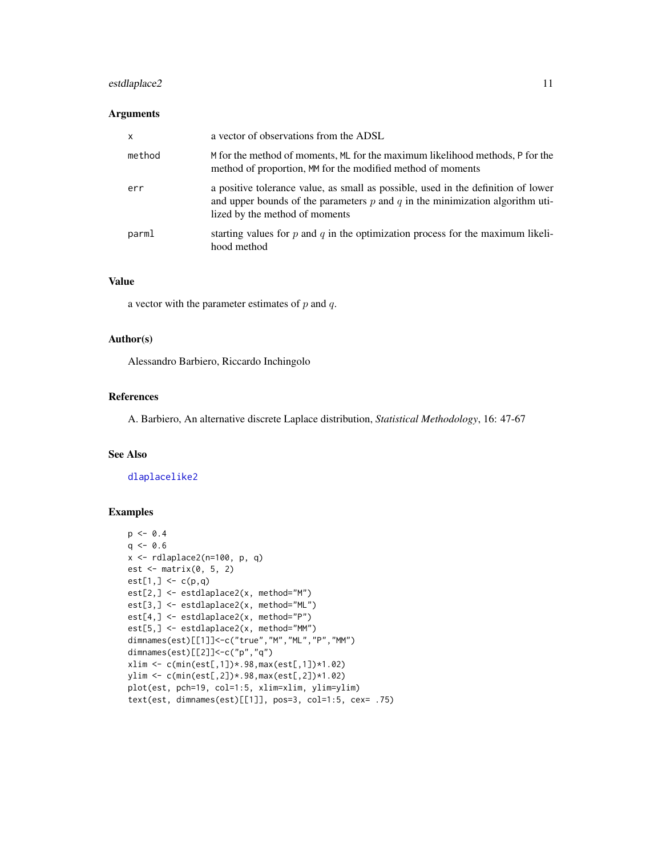# <span id="page-10-0"></span>estdlaplace2 11

#### Arguments

| $\boldsymbol{\mathsf{x}}$ | a vector of observations from the ADSL                                                                                                                                                                   |
|---------------------------|----------------------------------------------------------------------------------------------------------------------------------------------------------------------------------------------------------|
| method                    | M for the method of moments, ML for the maximum likelihood methods, P for the<br>method of proportion, MM for the modified method of moments                                                             |
| err                       | a positive tolerance value, as small as possible, used in the definition of lower<br>and upper bounds of the parameters $p$ and $q$ in the minimization algorithm uti-<br>lized by the method of moments |
| parml                     | starting values for p and q in the optimization process for the maximum likeli-<br>hood method                                                                                                           |

#### Value

a vector with the parameter estimates of  $p$  and  $q$ .

#### Author(s)

Alessandro Barbiero, Riccardo Inchingolo

#### References

A. Barbiero, An alternative discrete Laplace distribution, *Statistical Methodology*, 16: 47-67

# See Also

[dlaplacelike2](#page-5-1)

```
p \le -0.4q \le -0.6x \leftarrow rdlaplace2(n=100, p, q)
est <- matrix(0, 5, 2)
est[1, ] \leftarrow c(p, q)est[2,] <- estdlaplace2(x, method="M")
est[3,] <- estdlaplace2(x, method="ML")
est[4,] <- estdlaplace2(x, method="P")
est[5,] <- estdlaplace2(x, method="MM")
dimnames(est)[[1]]<-c("true","M","ML","P","MM")
dimnames(est)[[2]]<-c("p","q")
xlim <- c(min(est[,1])*.98,max(est[,1])*1.02)
ylim <- c(min(est[,2])*.98,max(est[,2])*1.02)
plot(est, pch=19, col=1:5, xlim=xlim, ylim=ylim)
text(est, dimnames(est)[[1]], pos=3, col=1:5, cex= .75)
```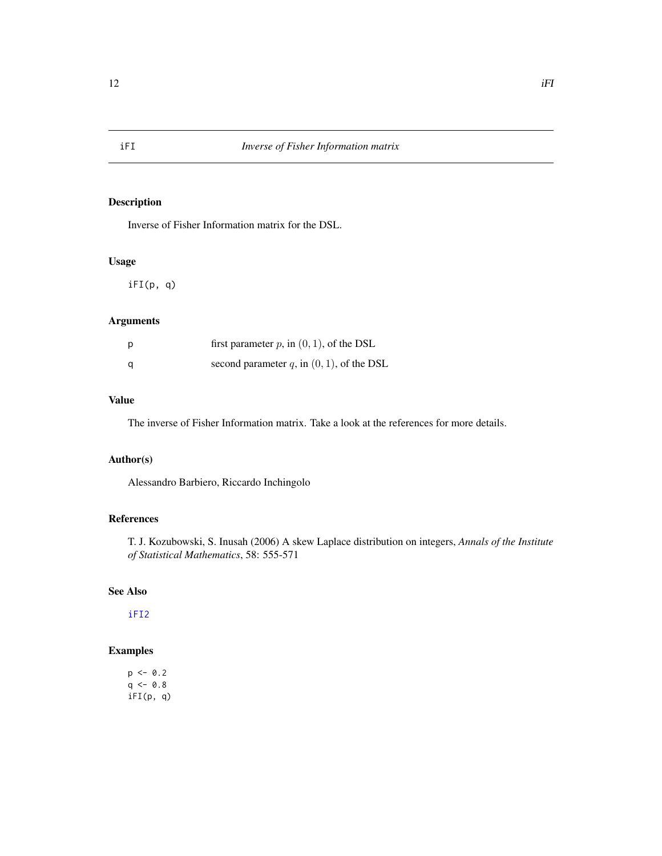<span id="page-11-0"></span>Inverse of Fisher Information matrix for the DSL.

# Usage

iFI(p, q)

# Arguments

| D | first parameter $p$ , in $(0, 1)$ , of the DSL  |
|---|-------------------------------------------------|
| a | second parameter $q$ , in $(0, 1)$ , of the DSL |

# Value

The inverse of Fisher Information matrix. Take a look at the references for more details.

# Author(s)

Alessandro Barbiero, Riccardo Inchingolo

# References

T. J. Kozubowski, S. Inusah (2006) A skew Laplace distribution on integers, *Annals of the Institute of Statistical Mathematics*, 58: 555-571

#### See Also

[iFI2](#page-12-1)

# Examples

 $p \le -0.2$  $q \le -0.8$ iFI(p, q)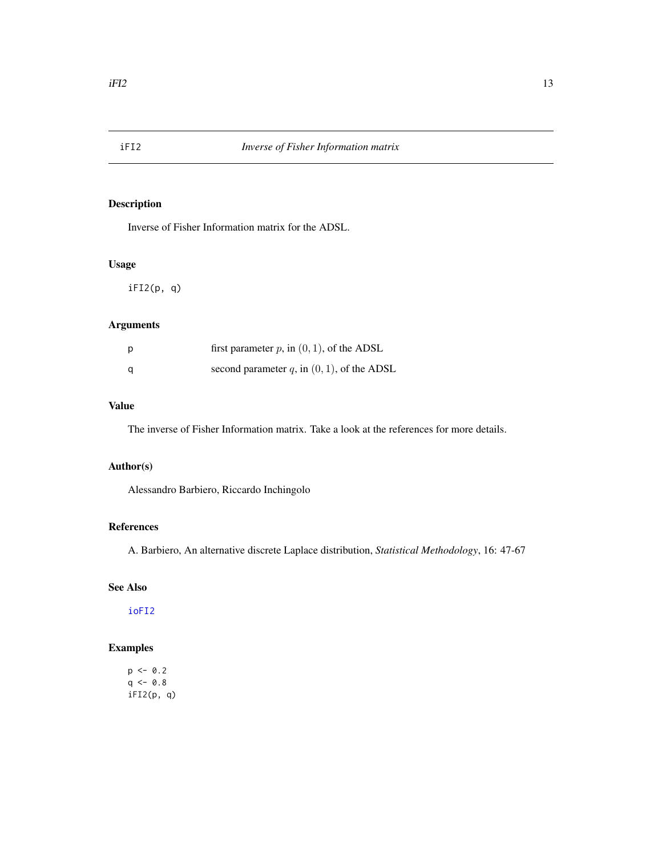<span id="page-12-1"></span><span id="page-12-0"></span>

Inverse of Fisher Information matrix for the ADSL.

#### Usage

iFI2(p, q)

# Arguments

| p | first parameter $p$ , in $(0, 1)$ , of the ADSL |
|---|-------------------------------------------------|
| a | second parameter q, in $(0, 1)$ , of the ADSL   |

# Value

The inverse of Fisher Information matrix. Take a look at the references for more details.

#### Author(s)

Alessandro Barbiero, Riccardo Inchingolo

#### References

A. Barbiero, An alternative discrete Laplace distribution, *Statistical Methodology*, 16: 47-67

#### See Also

[ioFI2](#page-13-1)

# Examples

 $p \leftarrow 0.2$  $q \le -0.8$ iFI2(p, q)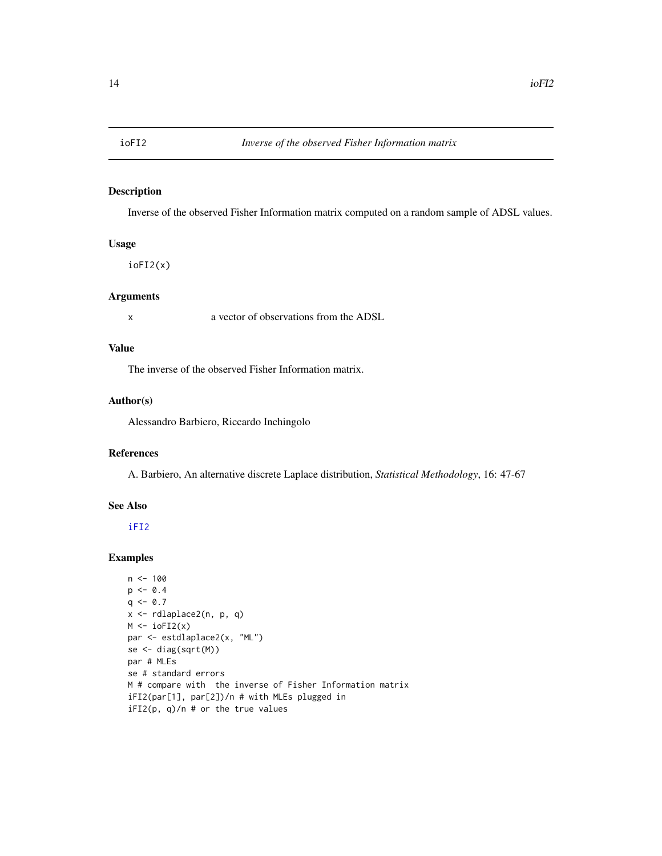<span id="page-13-1"></span><span id="page-13-0"></span>

Inverse of the observed Fisher Information matrix computed on a random sample of ADSL values.

# Usage

ioFI2(x)

# Arguments

x a vector of observations from the ADSL

#### Value

The inverse of the observed Fisher Information matrix.

#### Author(s)

Alessandro Barbiero, Riccardo Inchingolo

#### References

A. Barbiero, An alternative discrete Laplace distribution, *Statistical Methodology*, 16: 47-67

#### See Also

[iFI2](#page-12-1)

```
n < - 100p \le -0.4q \le -0.7x <- rdlaplace2(n, p, q)
M \leftarrow \text{ioFI2}(x)par <- estdlaplace2(x, "ML")
se <- diag(sqrt(M))
par # MLEs
se # standard errors
M # compare with the inverse of Fisher Information matrix
iFI2(par[1], par[2])/n # with MLEs plugged in
iFI2(p, q)/n # or the true values
```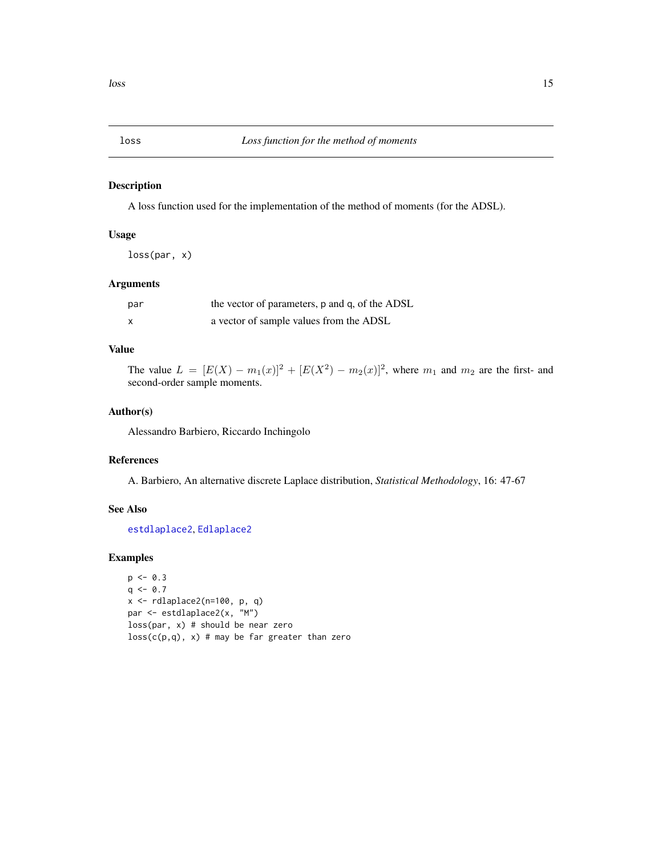<span id="page-14-1"></span><span id="page-14-0"></span>

A loss function used for the implementation of the method of moments (for the ADSL).

#### Usage

loss(par, x)

# Arguments

| par                       | the vector of parameters, p and q, of the ADSL |
|---------------------------|------------------------------------------------|
| $\boldsymbol{\mathsf{x}}$ | a vector of sample values from the ADSL        |

# Value

The value  $L = [E(X) - m_1(x)]^2 + [E(X^2) - m_2(x)]^2$ , where  $m_1$  and  $m_2$  are the first- and second-order sample moments.

# Author(s)

Alessandro Barbiero, Riccardo Inchingolo

# References

A. Barbiero, An alternative discrete Laplace distribution, *Statistical Methodology*, 16: 47-67

# See Also

[estdlaplace2](#page-9-1), [Edlaplace2](#page-7-1)

```
p \leftarrow 0.3q \leftarrow 0.7x \leftarrow rdlaplace2(n=100, p, q)
par <- estdlaplace2(x, "M")
loss(par, x) # should be near zero
loss(c(p,q), x) # may be far greater than zero
```